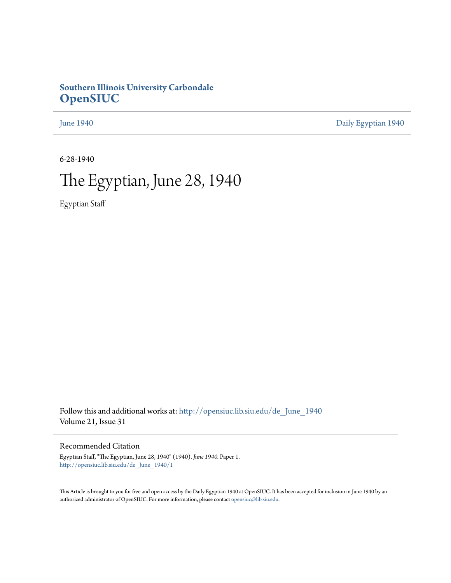# **Southern Illinois University Carbondale [OpenSIUC](http://opensiuc.lib.siu.edu?utm_source=opensiuc.lib.siu.edu%2Fde_June_1940%2F1&utm_medium=PDF&utm_campaign=PDFCoverPages)**

[June 1940](http://opensiuc.lib.siu.edu/de_June_1940?utm_source=opensiuc.lib.siu.edu%2Fde_June_1940%2F1&utm_medium=PDF&utm_campaign=PDFCoverPages) [Daily Egyptian 1940](http://opensiuc.lib.siu.edu/de_1940?utm_source=opensiuc.lib.siu.edu%2Fde_June_1940%2F1&utm_medium=PDF&utm_campaign=PDFCoverPages)

6-28-1940

# The Egyptian, June 28, 1940

Egyptian Staff

Follow this and additional works at: [http://opensiuc.lib.siu.edu/de\\_June\\_1940](http://opensiuc.lib.siu.edu/de_June_1940?utm_source=opensiuc.lib.siu.edu%2Fde_June_1940%2F1&utm_medium=PDF&utm_campaign=PDFCoverPages) Volume 21, Issue 31

# Recommended Citation

Egyptian Staff, "The Egyptian, June 28, 1940" (1940). *June 1940.* Paper 1. [http://opensiuc.lib.siu.edu/de\\_June\\_1940/1](http://opensiuc.lib.siu.edu/de_June_1940/1?utm_source=opensiuc.lib.siu.edu%2Fde_June_1940%2F1&utm_medium=PDF&utm_campaign=PDFCoverPages)

This Article is brought to you for free and open access by the Daily Egyptian 1940 at OpenSIUC. It has been accepted for inclusion in June 1940 by an authorized administrator of OpenSIUC. For more information, please contact [opensiuc@lib.siu.edu](mailto:opensiuc@lib.siu.edu).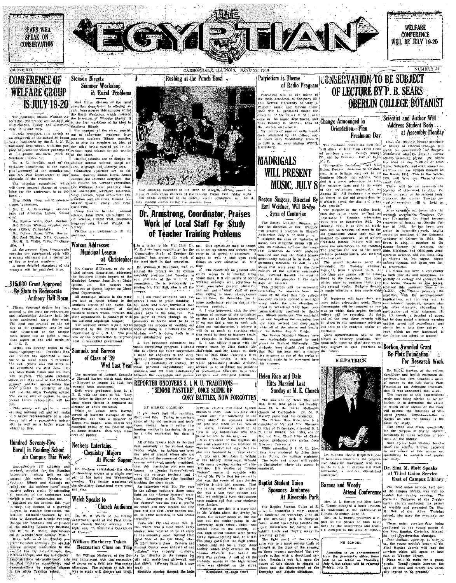



.<br>זמר

organized, fhis raral sel

(D. Howitén, of the organ is' the treasure steering committe

general charge for the conference, is as

Jonesboro, J. Belsswinger,

American Legion, Mound Wash 044 Berton

masce wean, Osta, English William William William (Elits), Carbondale.<br>
(Elits), Carbondale.<br>
Belbert Ryan, WPA, Herrin.<br>
Paul Blatter, NYA, Golconda.<br>
H. R. Wolfe, WPA, Pluckney.

At the present time, twenty-eight

<sub>25</sub> are represented, cach with<br>hy chairman and a committee enarman and a committee<br>o twelve members.<br>a detailed statement of the<br>will be published later. to twelve

#### \$15,000 Grant Approved By State to Redecorate Anthony Hall Dorm

thousand delives boy nd was granted on the au-<br>department to the campus<br>department to the campus<br>effore last to make a com-

has has appointed a comto refurnist wh a  $J<sub>0</sub>$  16  $\mathbf{d}$ rewiring ad the Allyn Training school

wift, of course, hefore redecoration will be

#### Hundred Seventy-Five Enroll in Reading School on Campus This Week

.<br>Annónske 195 othalaise students ! torni llego credit by satter<br>s of the conterence by sattending

small registration fee the mous this Institute Mfss.

**Stenson Directs** Summer Workshop in Rural Problems

Miss Helen Stenson of the raral sht hour course this summer calls addah monte

and creative

Sparta; typing. Camarellia es.<br>- Iradors **Sustando** Oráno John Pens.

DaOnai  $\overline{u}$ Visitors are

#### **Watson Addresses Municipal League** at Christopher

Mr. George H, Watson, of the litical science department. the Southern Hillsols branch of th Municinal League Jone 20, or Chri

in municipal gos

### already began to re- Samuels and Barron of Class of '39 Wed Last Year

Thomas Barron which took place Misseuri on August 26, 1939, has<br>cently Deen announced. ecentiv Both were graduated from

A. L. Will the cases of 39. 31.<br>are living in Ziegler at the present<br>time, where Barron is employed<br>director of adult education.<br>While in achool here Barr<br>served at business manager of was a member of Mrs. Barron Phi Kappa. associate editor of the Obelisk and<br>an honor student. Both were memrs of Sphinx

## Neckers Entertains. **Chemistry Majors** At Picnic Supper

Dr. Neckers entertained the of chemistry majors at a picule au<br>per at his home last Wednesda vening The faculty chrmistry departs

Welch Speaks to **Church Audience** 

D. Welch of the Botan:<br>at spoke at the First Chris **Yohuret** 

#### Williara Marberry Take: Recreation Class on Trip



Rushing at the Punch Bowl

ECAZEMELZYN

CARBONDALE, ILLINOIS. JUNE 28, 1940

committee.

# Dr. Armstrong, Coordinator, Praises Work of Local Staff For Study of Teacher Training Problems

a letter to Mr. Hal Hall, Dr. uel. ——<br>This committee Armstrong, coordinator for the Teacher Ed. earl Dr. William B. Schneider, who ex-

ing the problet

REPORTER UNCOVERS S. I. N. U. TRADITIONS 'SENIOR PASTURE", ONCE SCENE OF **GORY BATTLES, NOW FORGOTTEN** 

BY EILEEN CAMERON .<br>hetwaan elseese resemblad. don't feel like ramblin rather

tradi-According to

didn't

Writen brough  $_{\rm eff}$ ittle:<br>Tha

univer college and

### Patriotism is Theme of Radio Program

Patriotism will be the theme of Nermal University by the college may .<br>Wednesday, from

# **MADRIGALS WILL PRESENT MUSIC. JULY 8**

# **Easton Singers, Directed By**<br>Earl Weidner, Will Bridge Syan of Centuries

The Boston Madrigal Singers.

rbis snmmer.

Helen Rice and Dale

**Hitts Married Last** 

marciage of Helen Rice

NUMBER 31 **CONSERVATION/TO BE SUBJECT** OF LECTURE BY P. B. SEARS **OBERLIN COLLEGE BOTANIST** 

Change Announced in Orientation-Plan Freshman Dav

......<br>crientation next : from intimu y ves. Friday, August<br>Persinaan Davial S./L  $\overbrace{ }$  aid Miss  $\mathcal{L} = \mathcal{L} \times \mathcal{L}$ chairman of Orenta

 $\frac{1}{4}$   $\frac{1}{4}$  $10 - 7$ do some registration on Monde unen a e urged

aid avointastim he .<br>\*\*\*\*\*\*\* frosh.

Monday. nen will be requi where

distinc



William Heard Kilpatrick, on

in the progress

**Attend Conference** 

half-dozen le<br>half-dozen le<br>the S. L N.

Barnes and Woody

phases the

the universitie

NO SCHOOL

conterence

Mrs

bride and groc Christ on the 80 r<br>addressing

#### **Baptist Student Union** Sponsors Jamboree At Riverside Park

Buptlet Student Union hanch and playing many in

Scientist and Author Will Address Student Body at Assembly Monday

WELFARE

**CONFERENCE** 

WILL BE JULY 19-20

Dr. Paul Ble-dow Stores motors roofby and he the March, 1935. and Who  $\frac{1}{2}$ 1929

will

After spending two years armer seem. Microspending two lafama Epsilon.

.<br>In Ily dramatic

#### Borkon Awarded Grant By Plotz Foundation For Research Work

Eli(L. Borkon, of hysiology and health rtment. has been awarded a gran study

ssistant:

#### U. caupus last week Dr. Sina M. Mott Speaks at Third Union Service East of Campus Library

The third union service, held car of the campus library, last St éday

ervices which was of Wheeler<br>ast of Wheeler<br>Plans will be<br>biente. Young pr

invited to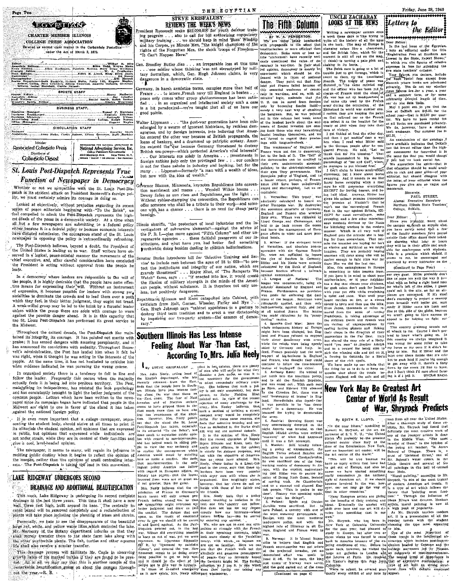

Page Two

## St. Louis Post-Dispatch Represents True Function of Newspaper in Democracy

Whether or not we sympathize with the St. Louis Post-Dis patch in its strident attack on President Roosevelt's foreign polley, we must certainly admire its courage in doing so.

Looked at objectively, without prejudice regarding its recent series of peace editorials beginning with "To the Brink", we<br>feel compelled to admit the Post-Dispatch represents the high est ideals of the press in a democratic society. At a time when<br>all but a few newspapers are submitting to a federal policy either because it is a federal policy or because economic interests newspaper in opposing the policy is extraordinarily refreshing

The Post-Dispatch believes, beyond a doubt, the President of the United States is leading us to war. Staff writers have observed in a logical, peace-minded manner the movements of the chief executive, and, after careful consideration have concluded the President is acting without approval from the people he leads.

In a democracy where leaders are responsible to the will of the people, it is highly desirable that the people have some effective means for expressing their<sup>3</sup>will. Without an instrument of expression, it becomes possible for leaders with strong per sonalities to dominate the crowds and to lead them over a nath something feel, in their better judgment, they ought not tread.<br>A weak-willed group may be led to the brink by a forceful leader unless within the group there are souls with courage to warn against the possible danger ahead. It is in this capacity that the St. Louis Pest-Dispatch has perfroned its great service to the Midwest.

Throughout the critical decade, the Post-Dispatch has main tained its integrity, its courage. It has pointed out merits with praise; it has sensed dangers with amazing perspicacity, and it has announced its convictions with audactiv. Throughout Roosevelt's administration, the Post has lauded him when it felt he was right, when it thought he was acting in the interests of the people. At the same time, it has not hesitated to criticize him when evidence indicated he was pursuing the wrong course.

In organized society there is a tendency to fall in line and follow the leader. Frequently this occurs when the majority<br>actually feels it is being led into perilous territory. The Post, maintaining its independence, has resisted the mob psychology and has consistently brought to light the better judgment of the common people. Letters which have been written to the newspaper since its campaign began have indicated that neonle in the Midwest are eight to one in favor of the stand it has taken against the national foreign policy.

It is even more important that a college newspaper, representing the student body, should strive at all times to print in<br>its editorials the student opinion, not opinions that are expressed in public, but opinions that expressed while individuals .<br>.<br>. not under strain, while they are in control of their faculties and give a cool, level-headed opinion.

The newspaper, it seems to many, will regain its influence in molding jublic destiny when it begins to reflect the opinion of<br>the masses, rather than the opinions of small controlling inter-<br>ests.. The Post-Dispatch is taking the lead in this movement.

# LAKE RIDGEWAY UNDERGOES SECOND DRAINAGE AND ADDITIONAL BEAUTIFICATION

This week, Lake Ridgeway is undergoing its second complete drainage in the last three years. This time it shall have a new wall, three years in the part of the centrally to consider the second its base. The centrally to ex plants will take place including the planting of irises and shrubs.

Personally, we hate to see the disappearance of the beautiful large red, white, and yellow water lilies, which encircled the fake.<br>Mr. Marberry of, the Botany department informs us that they shall merely transfer them to the state farm lake along with<br>the other worthwhile plants. The fish, turtles and other aqueous life shall also receive a similar transfer.

This dramage process will facilitate Mr. Cagle in observing growth fates of his marked turtles if they are found to be pres-<br>ent. All in all, we may say that this is another sample of the remarkable beautification going on about the campus throughout the year.-R. B.



THE ECYPTIAN

rights of the Forgotten Men, the shock troops of Freedom-

. Gen. Smedley Butler dies . an irreparable loss at this time dangerous in a democratic state.

ermany, in harsh armistice terms, occupies more than half of France ... to intern French navy till England is better ... ... ... ... These extra the presentation of the essential values of energy in the search of the parameter prop gluttonousness has been satis- intratic logic, mai France . . . to intern French navy till England is beaten .

Walter Lippmann . . . "the post-war generation have been miseducated by a swarm of ignorem thistorians, by reckless demagogues, and by foreign interests, into believing that Amer ica entered the other war because of British propaganda, the ica entered the other war because of *ETIMERIAN* CHARA (1998) of bankers, and a drummed up patricitic existsy. America entered the  $\frac{1}{2}$  that is calculated to destroy British sea-power--which protected America's vital Surface of principle in America ... investments in<br>foreign nations help only the privileged few . : . our concern is not for these nabobs in industry and banking, but for the many... Lippman—formerly "a man with a wealth of ideas, but now with the idea of wealth."

dvernor Stassen, Minnesota, keynotes Republicans into convention merriment and mazes . . . Wendell Wilkie booms Low ration and mass and Republicans see the light . . .<br>Dewey fades as sun rises and Republicans see the light . . . offer someone who shall be a tribute to their work-and someone who shall be a tribute to their work-and someone who has a chance ... there is no need for cheap party hossish

Illinois sheriffs, "the protectors of local industries and the inmeas such that the protectors of notational must have the advice of the F. B. I.—plan move against "Fifth Column" and other unregenerate agencies . . . these faithful preservers of our in-<br>regenerate agencies . . . these stitutions, and what have you, had better find something Forthwhile doing besides dealing in childish hallucinations.

enator Burke jutroduces bill for 'Selective Training and Ser entator surres murouses out for persecute ratating and set-<br>vice to include men between the ages of 18 to 665—"to pro-<br>teet the institutions and integrity of our nation, which are<br>gravely threatened."... Major Eliot, of " Watch" fame, says . . . "if enacted into law, it would create<br>the illusion of military strength in the minds of the Ameri-

# Southern Illinois Has Less Intense

The Court of Paysian Content in the propins and the properties of the European Court and Planet and Planet with the properties of the European Court and the Court of the Court of the Court of the Court of the Court of the

The Fifth Column

We will propose the company of the state of the state of the state of the state of the denomination is more effect than the denomination is more effect than the "statement" set-<br>the "statement" have recently set-<br>the "stat

the "statement" have recently set in morent is still all representing the coupling of the ratio of the prince of the particle of the statement is the control of the statement which can be determined in the control of the

hence of machine invasion are confascist leanings themselves, and we are forced to regard their pander<br>ings with tongue-in-cheek.

The weaknesses' of England France were not due to democracy,<br>but to the lack of ft. The "fall" of<br>the democracies can be credited to .....<br>their own undemocratic economic nolleles: to the short-sightedness of policies; to the short-sightedness of<br>their own Tory governments. The<br>European policy of England, and to<br>a lesser extent, perhaps, of France,<br>situpid and short-sighted, Let us re-<br>stupid and short-sighted, Let us re-

1 Hitler: If the stringed terms<br>of the strain and also be the control operation with the German Republic, were not sufficient to the<br>respect the control of the control of the control of the<br>stringed of the control of the against communism.

- S. League of Nations: The

straints are a set of the set of the set of the set of the set of the set of the set of the set of the set of the set of the set of the set of the set of the set of the set of the set of the set of the set of the set of t

**UNCLE ZACHARAY**<br>**LOOKS AT THE NEWS** *<u>ELetters</u>* to Writing a newspaper column once

Friday, June 28, 1940

the Editor

\*\*\*\*\*\*\*\*\*\*\*\*

Sincerely

Lear Eutror: The property move about the campus and much as anyone else, you have surely noted that a few of the faculty members have posted

seems to me, be encouraged and<br>practiced by every instructor on the

our own guas. Hitler probably don't lis-<br>the us none too well the way it is-<br>what with us being a right hand man<br>for what's left of the allies, I guess

(Continuel to Page Four)

.<br>Dear Editor:

PAUL STREET. FROM STREET, Alumni Executive Secretary<br>Northern Illinois State Teachers.<br>College, DeKalb.

Writing a newspaper column once  $\frac{1}{2}$  which the  $\frac{1}{2}$  with  $\frac{1}{2}$  with  $\frac{1}{2}$  with  $\frac{1}{2}$  with the head is like trying to Europe is Dern galaxies of the Engels of the Engels of the Engels of the British b Rhineland in world war number one; rece at DeKaib are spoon for the reachest in recking the paint; recking fees at DeKaib are spoon for quar-<br>on that railroad car so the French school year-that is \$15,00 per quar-<br>on that

I tension can be French (see ... We have no book rental for the filled can see the state in the last  $\frac{1}{2}$  (see ...) The last  $\frac{1}{2}$  (see ...) the last  $\frac{1}{2}$  (see ...) the last  $\frac{1}{2}$  (see ...) the last  $\frac{$ 

For the German people after the con- has the lowest rather than the high-queend France. He said, "Let use, est assessment for frees-that it is famous intensity from the same (e that you would charge sound a charge of the

figures you give are so vague and says he will guarantee everything<br>EXCEPT for having heaves, and be-

suppin and short-sighted, Let us re-<br>
six(SEPT for having lenger) and the same significant contributed.<br>
I. Versilies: This treaty was line in<br>the initial control of the same signification of the same significant<br>
and the of the feasily members have posted<br>of the state of the doors their sched-<br>the showing what hour or hours<br>they will be in their office and avail-<br>able for conferences with stylents.<br>able for conferences with stylents.

is something to take lessons from Is something to take leasests from  $\frac{1}{2}$  of the leasest from  $\frac{1}{2}$  in the control of the hand to shoot your left by the hand a dop that changes in the hand a dop that changes your colletons, by the property of the Except the same state and the same state in the main in the same state in main is not the main of the same state in the main is the same of a main in the same state in the same state in the same state in the same state in

# New York May Be Greatest Art Center of World As Result of War, Shryrock Predicts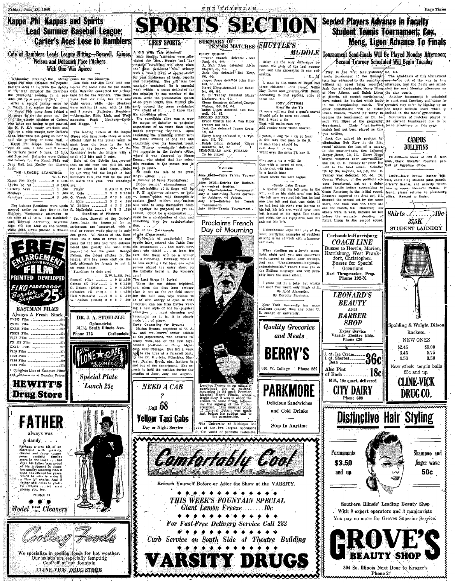Friday, June 28, 1940

# Kappa Phi Kappas and Spirits **Lead Summer Baseball League: Carter's Aces Lose to Ramblers**

A GIR With Tale Attached?<br>
Blue Monday attitudes were alle-<br>
viated for Mrs. Muzzey and her<br>Physicar Ecuceation 246 class when Cole of Ramblers Leads League Hitting-Boswell, Gaines, **Nelson and Dohanich Pace Pitchers** 

**EXERCISE THE CONFIDENTIAL CONFIDENTS.** This case of the strength of the strength and the picture is a strength of the strength of the strength of the strength of the strength of the strength of the strength of the streng



PHONE 79





. ...... umes.<br>Standings to date are:  $6. W. L. 80. Pet.$  $\begin{array}{cccccc} \textbf{G. W. L. SO. Pt.}\\ \textbf{G. W. L. SO. Pt.}\\ \textbf{G. M. O.} & \textbf{1.1 } 0 & 1 & 10 & 12.000\\ \textbf{G. N.} & \textbf{C. M. O.} & \textbf{C. M. O.} & \textbf{C. M. O.} \\ \textbf{D. M. O.} & \textbf{D. M. O.} & \textbf{D. M. O.} & \textbf{D. M. O.} \\ \textbf{D. M. M. O.} & \textbf{D. M. O.} & \textbf{D. M. O.} & \textbf{D. M. O.} \\$ 

**GRLS' SPORTS** 

total of twelve while playing it only one of the Januarantic condensation and to see the space of the  $\lambda$  and the space of the  $\lambda$  and the space of the space of the space of the space of the space of the space of the sp axm?

gam?<br>The Last Straw in Styles:<br>When the sun abling brightest,<br>and when the first hour archery<br>class is out on the far field shoot-<br>the bull, one, who wishes to<br>do so with energy of eyes in that<br>direction, can see Miss Davi tus a new style of hat for physical





**NOTICE!** 

24-28-Table Tennis Tourna

ume X+26-180e leams tourna-<br>
ment to mixed deubles.<br>
1906 - Sadminour Tournament.<br>
1919 - Badminton Tournament.<br>
1919 - Badminton Tournament.<br>
1914 - Richery, 45 o'clock.<br>
1919 - Signe Theories for Tennis

Tournament.<br>July 15-19—Tennis Tournament.

Proclaims French

Dav of Mourning

To be played.

uly

SUMMARY OF TENNIS MATCHES SHUTTLE'S After all the only difference between the girls of the last generation and this generation is one generation.

THE EGYPTIAN

A man by the name of Buser had a man by the name of Buyst had three children: John Burst, Nellie May Burst, and Charles Will Burst, According to last reports, none of them had.

**MUDDLE** 

้า มาไม

them had.<br>
Blest Be the Tic<br>
O, some will say that a gent's crave<br>
C, some will say that a gent's crave<br>
Should only be seen not heard.<br>
But I want a tie ...<br>That will make men erg. anga uni make men cry,<br>And render their vision blurred.

.<br>yearn, I long for a tie so long I yearn, I long for a tie so long<br>If will take two men to the it.<br>If such there should be,<br>Inst show it to me,<br>Wint ever the price TI buy it.

.<br>Give me a tie a wild tie one with a *barror* o<br>A fie that will blaze

u se ence sin :<br>In a hectic baze wn where the vest begin

Sandy Lake Bresze Sancy Lake Breeze<br>A spidier lost his left arm in the<br>ar, and so his right arm was left War, mot so his right arm was soleled that we right.<br>His left arm was not left but he had<br>one arm left and that was right. If<br>he had lost his right arm instead of<br>he had lost his right arm instead of<br>left hasted of bis rig

Meisenheimer says that one of the nost terrifying examples of reckless driving is me at work with a hammer and mails.

When strolling on a lovely moon-<br>light inght and you feel somewhat<br>embarrassell to speak your feelings,<br>hist say, "Unevirses<br>certurbinshipsing-<br>and particular Tast's 1 love you to<br>the Eskimo language, and will prob-<br>ably h I could put in a joke, but what's the use? You would only laugh at it.<br>Be good Alexander.

By Dorothy Sarchette.

New York University has note





601 W. College Phone 286



**Delicious Sandwiches** and Cold Drinks

Stop In Anytime





Fig. 3 to the first faculty-stretory  $(5.3, 6.1, 6.1, 6.1)$ <br>tennis to arrange of the Summer The semi-finals of this tournament<br>term has adrened to the semi-finals of the semi-finals of the way by this<br>without an upset bei

materia and to been piayed as danged as compared as the space of the primarity condition by the present of the particle, in the anti-transition of the material of the particle and  $Dx$ ,  $\Delta x = \Delta x$ ,  $\Delta y = \Delta x$ ,  $\Delta y = \Delta x$ ,  $\$ nassa nasa m<br>vas written.

dropped the second set by the same<br>score, and then won the third set

**COACH LINE** 

Occasions Earl Throgmorton, Prop.<br>Phone 192-X

**LEONARD'S** 

**BEAUTY** 

AND

**RARRER** 

 $SHOP$ 

Exper Service<br>Varsity Theatre Bldg.<br>Phone 420

Milk, 10c quart, delivered

CITY DAIRY

qt, Ice Cream...<br>qt. Sherbet.......

\$3.50

and up

**Also** Pint

Jack Cox of Carbonotals, Harry Wang uled for next Monday afternoon on of New Athens, and Ralph Licensi the clay counts.<br>
of New Athens, and Ralph Licensi the clay counts.<br>
(cf. Herrin, all esseeds particlopating), Another

mal, black Sheaffer fountain pen.<br>mal, black Sheaffer fountain pen.<br>Call at Egyptian office.

fold, containing student pilot permirold, containing student pilot permit,<br>divier's license, and activity ficket,<br>bearing name, Kenneth Potter, If<br>found, please returne to president's<br>office. Reward to finder.



.<br>Naw stock tennis balls

25e and up.

**CLINE-VICK** 

**DRUGCO.** 

Shampoo and

finger wave

50c

Southern Illinois' Leading Beauty Shop

With 8 expert operators and 3 manicurists

You pay no more for Groves Superior Service.

**BEAUTY SH** 

304 So. Illinois Next Door to Kroger's

Phone 27

**CAMPUS BULLETINS** FOUND-In block of 600 \$. Nor-

LOST-Dark brown leather bill





THIS WEEK'S FOUNTAIN SPECIAL Giant Lemon Freeze ......10c